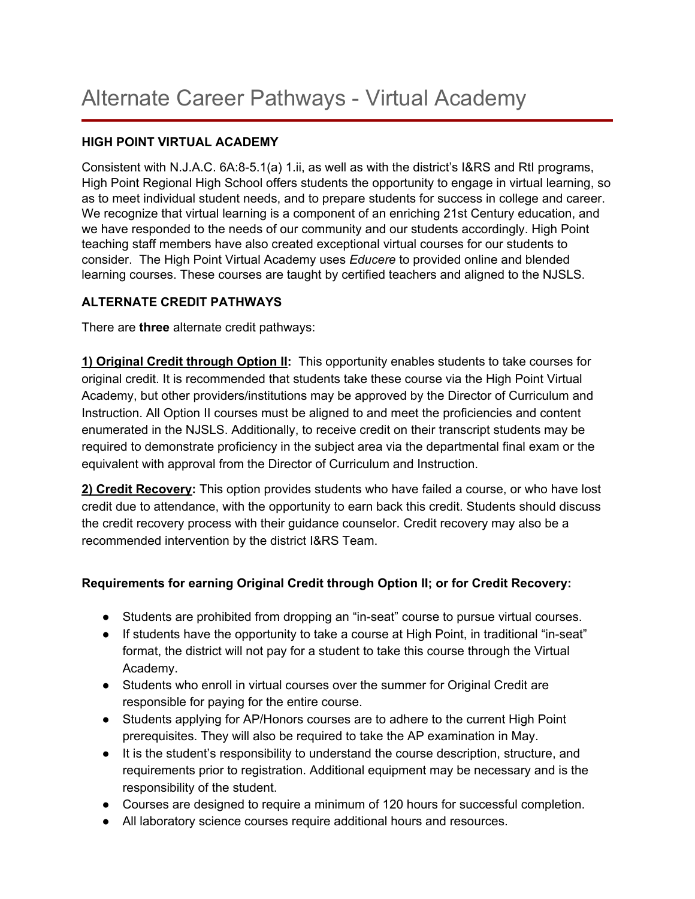### **HIGH POINT VIRTUAL ACADEMY**

Consistent with N.J.A.C. 6A:8-5.1(a) 1.ii, as well as with the district's I&RS and RtI programs, High Point Regional High School offers students the opportunity to engage in virtual learning, so as to meet individual student needs, and to prepare students for success in college and career. We recognize that virtual learning is a component of an enriching 21st Century education, and we have responded to the needs of our community and our students accordingly. High Point teaching staff members have also created exceptional virtual courses for our students to consider. The High Point Virtual Academy uses *Educere* to provided online and blended learning courses. These courses are taught by certified teachers and aligned to the NJSLS.

## **ALTERNATE CREDIT PATHWAYS**

There are **three** alternate credit pathways:

**1) Original Credit through Option II:** This opportunity enables students to take courses for original credit. It is recommended that students take these course via the High Point Virtual Academy, but other providers/institutions may be approved by the Director of Curriculum and Instruction. All Option II courses must be aligned to and meet the proficiencies and content enumerated in the NJSLS. Additionally, to receive credit on their transcript students may be required to demonstrate proficiency in the subject area via the departmental final exam or the equivalent with approval from the Director of Curriculum and Instruction.

**2) Credit Recovery:** This option provides students who have failed a course, or who have lost credit due to attendance, with the opportunity to earn back this credit. Students should discuss the credit recovery process with their guidance counselor. Credit recovery may also be a recommended intervention by the district I&RS Team.

## **Requirements for earning Original Credit through Option II; or for Credit Recovery:**

- Students are prohibited from dropping an "in-seat" course to pursue virtual courses.
- If students have the opportunity to take a course at High Point, in traditional "in-seat" format, the district will not pay for a student to take this course through the Virtual Academy.
- Students who enroll in virtual courses over the summer for Original Credit are responsible for paying for the entire course.
- Students applying for AP/Honors courses are to adhere to the current High Point prerequisites. They will also be required to take the AP examination in May.
- It is the student's responsibility to understand the course description, structure, and requirements prior to registration. Additional equipment may be necessary and is the responsibility of the student.
- Courses are designed to require a minimum of 120 hours for successful completion.
- All laboratory science courses require additional hours and resources.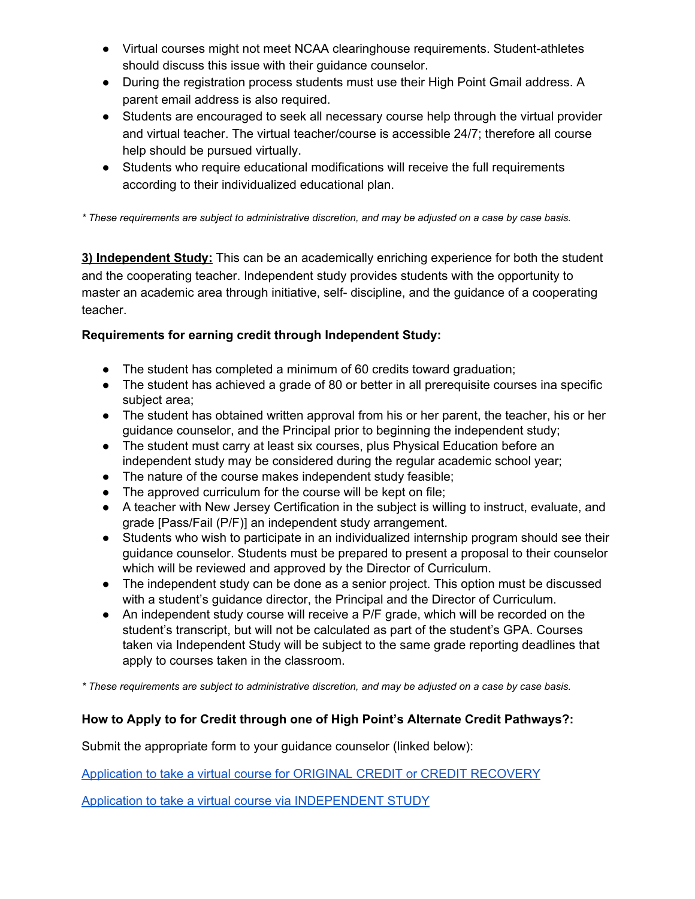- Virtual courses might not meet NCAA clearinghouse requirements. Student-athletes should discuss this issue with their guidance counselor.
- During the registration process students must use their High Point Gmail address. A parent email address is also required.
- Students are encouraged to seek all necessary course help through the virtual provider and virtual teacher. The virtual teacher/course is accessible 24/7; therefore all course help should be pursued virtually.
- Students who require educational modifications will receive the full requirements according to their individualized educational plan.

*\* These requirements are subject to administrative discretion, and may be adjusted on a case by case basis.*

**3) Independent Study:** This can be an academically enriching experience for both the student and the cooperating teacher. Independent study provides students with the opportunity to master an academic area through initiative, self- discipline, and the guidance of a cooperating teacher.

# **Requirements for earning credit through Independent Study:**

- The student has completed a minimum of 60 credits toward graduation;
- The student has achieved a grade of 80 or better in all prerequisite courses ina specific subject area;
- The student has obtained written approval from his or her parent, the teacher, his or her guidance counselor, and the Principal prior to beginning the independent study;
- The student must carry at least six courses, plus Physical Education before an independent study may be considered during the regular academic school year;
- The nature of the course makes independent study feasible;
- The approved curriculum for the course will be kept on file;
- A teacher with New Jersey Certification in the subject is willing to instruct, evaluate, and grade [Pass/Fail (P/F)] an independent study arrangement.
- Students who wish to participate in an individualized internship program should see their guidance counselor. Students must be prepared to present a proposal to their counselor which will be reviewed and approved by the Director of Curriculum.
- The independent study can be done as a senior project. This option must be discussed with a student's guidance director, the Principal and the Director of Curriculum.
- An independent study course will receive a P/F grade, which will be recorded on the student's transcript, but will not be calculated as part of the student's GPA. Courses taken via Independent Study will be subject to the same grade reporting deadlines that apply to courses taken in the classroom.

*\* These requirements are subject to administrative discretion, and may be adjusted on a case by case basis.*

# **How to Apply to for Credit through one of High Point's Alternate Credit Pathways?:**

Submit the appropriate form to your guidance counselor (linked below):

Application to take a virtual course for ORIGINAL CREDIT or CREDIT [RECOVERY](https://goo.gl/forms/x7iKg6QZlSTrqrKs2)

[Application](https://docs.google.com/document/d/1yk_ANQxvLdAQngeWZ0OLJz33B-U31PnvrvwtN5i7y38/edit) to take a virtual cours[e](https://docs.google.com/document/d/1yk_ANQxvLdAQngeWZ0OLJz33B-U31PnvrvwtN5i7y38/edit) via [INDEPENDENT](https://docs.google.com/document/d/1yk_ANQxvLdAQngeWZ0OLJz33B-U31PnvrvwtN5i7y38/edit) STUDY